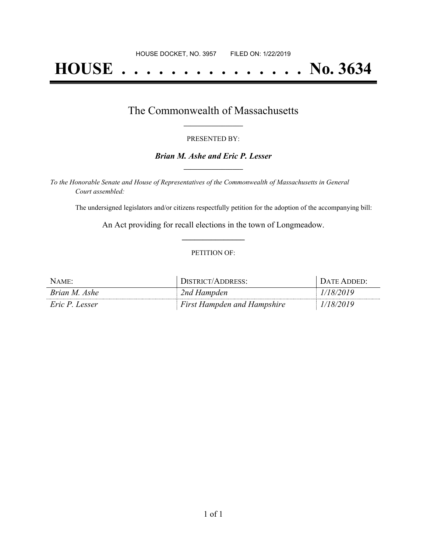# **HOUSE . . . . . . . . . . . . . . . No. 3634**

### The Commonwealth of Massachusetts **\_\_\_\_\_\_\_\_\_\_\_\_\_\_\_\_\_**

#### PRESENTED BY:

#### *Brian M. Ashe and Eric P. Lesser* **\_\_\_\_\_\_\_\_\_\_\_\_\_\_\_\_\_**

*To the Honorable Senate and House of Representatives of the Commonwealth of Massachusetts in General Court assembled:*

The undersigned legislators and/or citizens respectfully petition for the adoption of the accompanying bill:

An Act providing for recall elections in the town of Longmeadow. **\_\_\_\_\_\_\_\_\_\_\_\_\_\_\_**

#### PETITION OF:

| NAME:          | DISTRICT/ADDRESS:                  | DATE ADDED: |
|----------------|------------------------------------|-------------|
| Brian M. Ashe  | 2nd Hampden                        | 1/18/2019   |
| Eric P. Lesser | <b>First Hampden and Hampshire</b> | 1/18/2019   |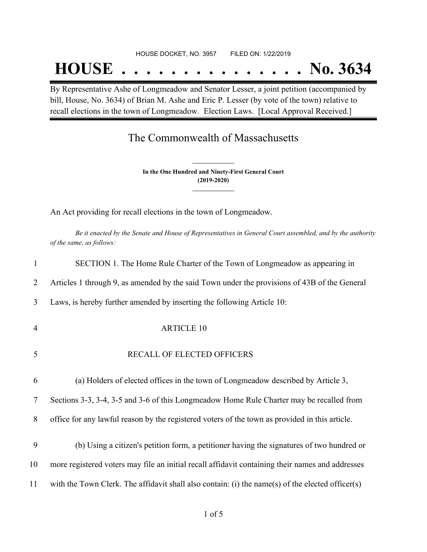#### HOUSE DOCKET, NO. 3957 FILED ON: 1/22/2019

## **HOUSE . . . . . . . . . . . . . . . No. 3634**

By Representative Ashe of Longmeadow and Senator Lesser, a joint petition (accompanied by bill, House, No. 3634) of Brian M. Ashe and Eric P. Lesser (by vote of the town) relative to recall elections in the town of Longmeadow. Election Laws. [Local Approval Received.]

## The Commonwealth of Massachusetts

**In the One Hundred and Ninety-First General Court (2019-2020) \_\_\_\_\_\_\_\_\_\_\_\_\_\_\_**

**\_\_\_\_\_\_\_\_\_\_\_\_\_\_\_**

An Act providing for recall elections in the town of Longmeadow.

Be it enacted by the Senate and House of Representatives in General Court assembled, and by the authority *of the same, as follows:*

| 1              | SECTION 1. The Home Rule Charter of the Town of Longmeadow as appearing in                       |
|----------------|--------------------------------------------------------------------------------------------------|
| 2              | Articles 1 through 9, as amended by the said Town under the provisions of 43B of the General     |
| 3              | Laws, is hereby further amended by inserting the following Article 10:                           |
| $\overline{4}$ | <b>ARTICLE 10</b>                                                                                |
| 5              | RECALL OF ELECTED OFFICERS                                                                       |
| 6              | (a) Holders of elected offices in the town of Longmeadow described by Article 3,                 |
| 7              | Sections 3-3, 3-4, 3-5 and 3-6 of this Longmeadow Home Rule Charter may be recalled from         |
| 8              | office for any lawful reason by the registered voters of the town as provided in this article.   |
| 9              | (b) Using a citizen's petition form, a petitioner having the signatures of two hundred or        |
| 10             | more registered voters may file an initial recall affidavit containing their names and addresses |
| 11             | with the Town Clerk. The affidavit shall also contain: (i) the name(s) of the elected officer(s) |
|                |                                                                                                  |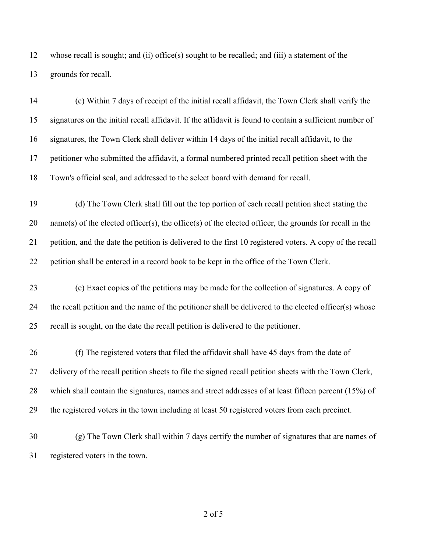whose recall is sought; and (ii) office(s) sought to be recalled; and (iii) a statement of the grounds for recall.

 (c) Within 7 days of receipt of the initial recall affidavit, the Town Clerk shall verify the signatures on the initial recall affidavit. If the affidavit is found to contain a sufficient number of signatures, the Town Clerk shall deliver within 14 days of the initial recall affidavit, to the petitioner who submitted the affidavit, a formal numbered printed recall petition sheet with the Town's official seal, and addressed to the select board with demand for recall.

 (d) The Town Clerk shall fill out the top portion of each recall petition sheet stating the name(s) of the elected officer(s), the office(s) of the elected officer, the grounds for recall in the petition, and the date the petition is delivered to the first 10 registered voters. A copy of the recall petition shall be entered in a record book to be kept in the office of the Town Clerk.

 (e) Exact copies of the petitions may be made for the collection of signatures. A copy of the recall petition and the name of the petitioner shall be delivered to the elected officer(s) whose recall is sought, on the date the recall petition is delivered to the petitioner.

 (f) The registered voters that filed the affidavit shall have 45 days from the date of delivery of the recall petition sheets to file the signed recall petition sheets with the Town Clerk, which shall contain the signatures, names and street addresses of at least fifteen percent (15%) of the registered voters in the town including at least 50 registered voters from each precinct.

 (g) The Town Clerk shall within 7 days certify the number of signatures that are names of registered voters in the town.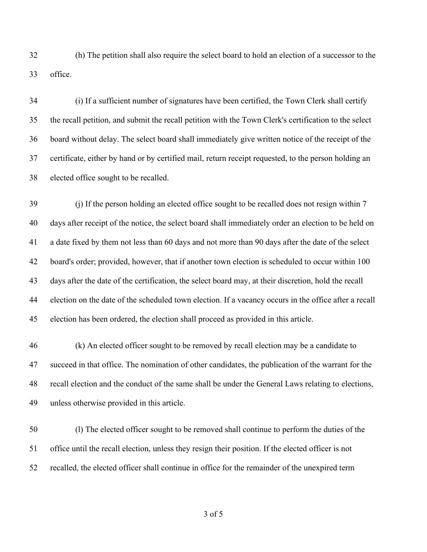(h) The petition shall also require the select board to hold an election of a successor to the office.

 (i) If a sufficient number of signatures have been certified, the Town Clerk shall certify the recall petition, and submit the recall petition with the Town Clerk's certification to the select board without delay. The select board shall immediately give written notice of the receipt of the certificate, either by hand or by certified mail, return receipt requested, to the person holding an elected office sought to be recalled.

39 (i) If the person holding an elected office sought to be recalled does not resign within 7 days after receipt of the notice, the select board shall immediately order an election to be held on a date fixed by them not less than 60 days and not more than 90 days after the date of the select board's order; provided, however, that if another town election is scheduled to occur within 100 days after the date of the certification, the select board may, at their discretion, hold the recall election on the date of the scheduled town election. If a vacancy occurs in the office after a recall election has been ordered, the election shall proceed as provided in this article.

 (k) An elected officer sought to be removed by recall election may be a candidate to succeed in that office. The nomination of other candidates, the publication of the warrant for the recall election and the conduct of the same shall be under the General Laws relating to elections, unless otherwise provided in this article.

 (l) The elected officer sought to be removed shall continue to perform the duties of the office until the recall election, unless they resign their position. If the elected officer is not recalled, the elected officer shall continue in office for the remainder of the unexpired term

of 5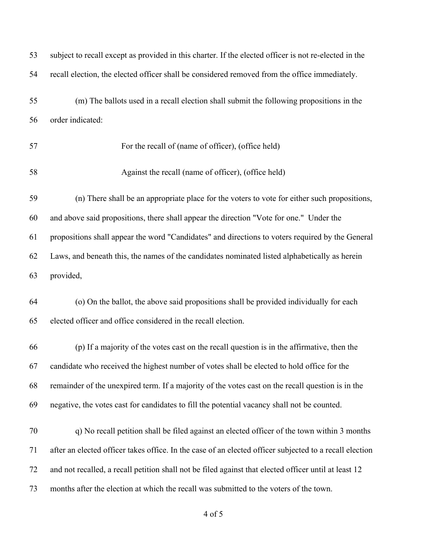| 53 | subject to recall except as provided in this charter. If the elected officer is not re-elected in the   |
|----|---------------------------------------------------------------------------------------------------------|
| 54 | recall election, the elected officer shall be considered removed from the office immediately.           |
| 55 | (m) The ballots used in a recall election shall submit the following propositions in the                |
| 56 | order indicated:                                                                                        |
| 57 | For the recall of (name of officer), (office held)                                                      |
| 58 | Against the recall (name of officer), (office held)                                                     |
| 59 | (n) There shall be an appropriate place for the voters to vote for either such propositions,            |
| 60 | and above said propositions, there shall appear the direction "Vote for one." Under the                 |
| 61 | propositions shall appear the word "Candidates" and directions to voters required by the General        |
| 62 | Laws, and beneath this, the names of the candidates nominated listed alphabetically as herein           |
| 63 | provided,                                                                                               |
| 64 | (o) On the ballot, the above said propositions shall be provided individually for each                  |
| 65 | elected officer and office considered in the recall election.                                           |
| 66 | (p) If a majority of the votes cast on the recall question is in the affirmative, then the              |
| 67 | candidate who received the highest number of votes shall be elected to hold office for the              |
| 68 | remainder of the unexpired term. If a majority of the votes cast on the recall question is in the       |
| 69 | negative, the votes cast for candidates to fill the potential vacancy shall not be counted.             |
| 70 | q) No recall petition shall be filed against an elected officer of the town within 3 months             |
| 71 | after an elected officer takes office. In the case of an elected officer subjected to a recall election |
| 72 | and not recalled, a recall petition shall not be filed against that elected officer until at least 12   |
| 73 | months after the election at which the recall was submitted to the voters of the town.                  |
|    |                                                                                                         |

of 5